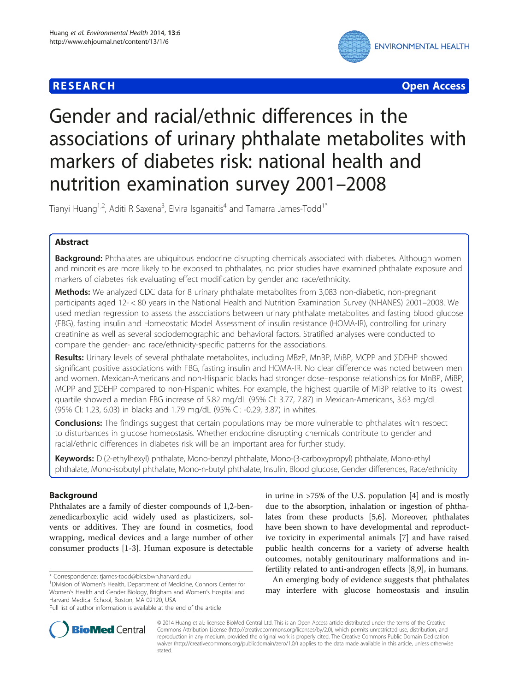## **RESEARCH CHE Open Access**



# Gender and racial/ethnic differences in the associations of urinary phthalate metabolites with markers of diabetes risk: national health and nutrition examination survey 2001–2008

Tianyi Huang<sup>1,2</sup>, Aditi R Saxena<sup>3</sup>, Elvira Isganaitis<sup>4</sup> and Tamarra James-Todd<sup>1\*</sup>

## Abstract

**Background:** Phthalates are ubiquitous endocrine disrupting chemicals associated with diabetes. Although women and minorities are more likely to be exposed to phthalates, no prior studies have examined phthalate exposure and markers of diabetes risk evaluating effect modification by gender and race/ethnicity.

Methods: We analyzed CDC data for 8 urinary phthalate metabolites from 3,083 non-diabetic, non-pregnant participants aged 12- < 80 years in the National Health and Nutrition Examination Survey (NHANES) 2001–2008. We used median regression to assess the associations between urinary phthalate metabolites and fasting blood glucose (FBG), fasting insulin and Homeostatic Model Assessment of insulin resistance (HOMA-IR), controlling for urinary creatinine as well as several sociodemographic and behavioral factors. Stratified analyses were conducted to compare the gender- and race/ethnicity-specific patterns for the associations.

Results: Urinary levels of several phthalate metabolites, including MBzP, MnBP, MiBP, MCPP and ∑DEHP showed significant positive associations with FBG, fasting insulin and HOMA-IR. No clear difference was noted between men and women. Mexican-Americans and non-Hispanic blacks had stronger dose–response relationships for MnBP, MiBP, MCPP and ∑DEHP compared to non-Hispanic whites. For example, the highest quartile of MiBP relative to its lowest quartile showed a median FBG increase of 5.82 mg/dL (95% CI: 3.77, 7.87) in Mexican-Americans, 3.63 mg/dL (95% CI: 1.23, 6.03) in blacks and 1.79 mg/dL (95% CI: -0.29, 3.87) in whites.

**Conclusions:** The findings suggest that certain populations may be more vulnerable to phthalates with respect to disturbances in glucose homeostasis. Whether endocrine disrupting chemicals contribute to gender and racial/ethnic differences in diabetes risk will be an important area for further study.

Keywords: Di(2-ethylhexyl) phthalate, Mono-benzyl phthalate, Mono-(3-carboxypropyl) phthalate, Mono-ethyl phthalate, Mono-isobutyl phthalate, Mono-n-butyl phthalate, Insulin, Blood glucose, Gender differences, Race/ethnicity

## Background

Phthalates are a family of diester compounds of 1,2-benzenedicarboxylic acid widely used as plasticizers, solvents or additives. They are found in cosmetics, food wrapping, medical devices and a large number of other consumer products [[1-3](#page-8-0)]. Human exposure is detectable

\* Correspondence: [tjames-todd@bics.bwh.harvard.edu](mailto:tjames-todd@bics.bwh.harvard.edu) <sup>1</sup>

in urine in >75% of the U.S. population [[4\]](#page-8-0) and is mostly due to the absorption, inhalation or ingestion of phthalates from these products [[5](#page-8-0),[6](#page-8-0)]. Moreover, phthalates have been shown to have developmental and reproductive toxicity in experimental animals [\[7](#page-8-0)] and have raised public health concerns for a variety of adverse health outcomes, notably genitourinary malformations and infertility related to anti-androgen effects [[8,9\]](#page-8-0), in humans.

An emerging body of evidence suggests that phthalates may interfere with glucose homeostasis and insulin



© 2014 Huang et al.; licensee BioMed Central Ltd. This is an Open Access article distributed under the terms of the Creative Commons Attribution License [\(http://creativecommons.org/licenses/by/2.0\)](http://creativecommons.org/licenses/by/2.0), which permits unrestricted use, distribution, and reproduction in any medium, provided the original work is properly cited. The Creative Commons Public Domain Dedication waiver [\(http://creativecommons.org/publicdomain/zero/1.0/\)](http://creativecommons.org/publicdomain/zero/1.0/) applies to the data made available in this article, unless otherwise stated.

Division of Women's Health, Department of Medicine, Connors Center for Women's Health and Gender Biology, Brigham and Women's Hospital and Harvard Medical School, Boston, MA 02120, USA

Full list of author information is available at the end of the article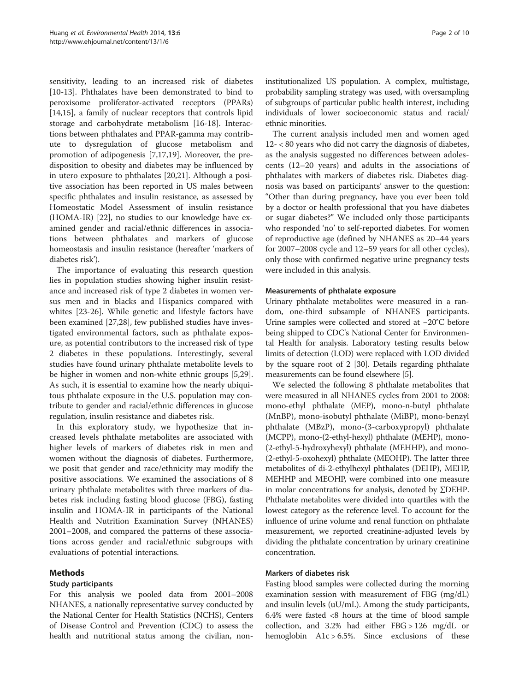sensitivity, leading to an increased risk of diabetes [[10-13](#page-8-0)]. Phthalates have been demonstrated to bind to peroxisome proliferator-activated receptors (PPARs) [[14,15\]](#page-8-0), a family of nuclear receptors that controls lipid storage and carbohydrate metabolism [[16-18](#page-8-0)]. Interactions between phthalates and PPAR-gamma may contribute to dysregulation of glucose metabolism and promotion of adipogenesis [\[7,17,19\]](#page-8-0). Moreover, the predisposition to obesity and diabetes may be influenced by in utero exposure to phthalates [\[20,21](#page-8-0)]. Although a positive association has been reported in US males between specific phthalates and insulin resistance, as assessed by Homeostatic Model Assessment of insulin resistance (HOMA-IR) [\[22\]](#page-8-0), no studies to our knowledge have examined gender and racial/ethnic differences in associations between phthalates and markers of glucose homeostasis and insulin resistance (hereafter 'markers of diabetes risk').

The importance of evaluating this research question lies in population studies showing higher insulin resistance and increased risk of type 2 diabetes in women versus men and in blacks and Hispanics compared with whites [\[23](#page-8-0)-[26](#page-8-0)]. While genetic and lifestyle factors have been examined [\[27](#page-8-0)[,28](#page-9-0)], few published studies have investigated environmental factors, such as phthalate exposure, as potential contributors to the increased risk of type 2 diabetes in these populations. Interestingly, several studies have found urinary phthalate metabolite levels to be higher in women and non-white ethnic groups [\[5](#page-8-0)[,29](#page-9-0)]. As such, it is essential to examine how the nearly ubiquitous phthalate exposure in the U.S. population may contribute to gender and racial/ethnic differences in glucose regulation, insulin resistance and diabetes risk.

In this exploratory study, we hypothesize that increased levels phthalate metabolites are associated with higher levels of markers of diabetes risk in men and women without the diagnosis of diabetes. Furthermore, we posit that gender and race/ethnicity may modify the positive associations. We examined the associations of 8 urinary phthalate metabolites with three markers of diabetes risk including fasting blood glucose (FBG), fasting insulin and HOMA-IR in participants of the National Health and Nutrition Examination Survey (NHANES) 2001–2008, and compared the patterns of these associations across gender and racial/ethnic subgroups with evaluations of potential interactions.

## Methods

## Study participants

For this analysis we pooled data from 2001–2008 NHANES, a nationally representative survey conducted by the National Center for Health Statistics (NCHS), Centers of Disease Control and Prevention (CDC) to assess the health and nutritional status among the civilian, noninstitutionalized US population. A complex, multistage, probability sampling strategy was used, with oversampling of subgroups of particular public health interest, including individuals of lower socioeconomic status and racial/ ethnic minorities.

The current analysis included men and women aged 12- < 80 years who did not carry the diagnosis of diabetes, as the analysis suggested no differences between adolescents (12–20 years) and adults in the associations of phthalates with markers of diabetes risk. Diabetes diagnosis was based on participants' answer to the question: "Other than during pregnancy, have you ever been told by a doctor or health professional that you have diabetes or sugar diabetes?" We included only those participants who responded 'no' to self-reported diabetes. For women of reproductive age (defined by NHANES as 20–44 years for 2007–2008 cycle and 12–59 years for all other cycles), only those with confirmed negative urine pregnancy tests were included in this analysis.

#### Measurements of phthalate exposure

Urinary phthalate metabolites were measured in a random, one-third subsample of NHANES participants. Urine samples were collected and stored at −20°C before being shipped to CDC's National Center for Environmental Health for analysis. Laboratory testing results below limits of detection (LOD) were replaced with LOD divided by the square root of 2 [\[30](#page-9-0)]. Details regarding phthalate measurements can be found elsewhere [[5](#page-8-0)].

We selected the following 8 phthalate metabolites that were measured in all NHANES cycles from 2001 to 2008: mono-ethyl phthalate (MEP), mono-n-butyl phthalate (MnBP), mono-isobutyl phthalate (MiBP), mono-benzyl phthalate (MBzP), mono-(3-carboxypropyl) phthalate (MCPP), mono-(2-ethyl-hexyl) phthalate (MEHP), mono- (2-ethyl-5-hydroxyhexyl) phthalate (MEHHP), and mono- (2-ethyl-5-oxohexyl) phthalate (MEOHP). The latter three metabolites of di-2-ethylhexyl phthalates (DEHP), MEHP, MEHHP and MEOHP, were combined into one measure in molar concentrations for analysis, denoted by ∑DEHP. Phthalate metabolites were divided into quartiles with the lowest category as the reference level. To account for the influence of urine volume and renal function on phthalate measurement, we reported creatinine-adjusted levels by dividing the phthalate concentration by urinary creatinine concentration.

## Markers of diabetes risk

Fasting blood samples were collected during the morning examination session with measurement of FBG (mg/dL) and insulin levels (uU/mL). Among the study participants, 6.4% were fasted <8 hours at the time of blood sample collection, and 3.2% had either FBG > 126 mg/dL or hemoglobin A1c > 6.5%. Since exclusions of these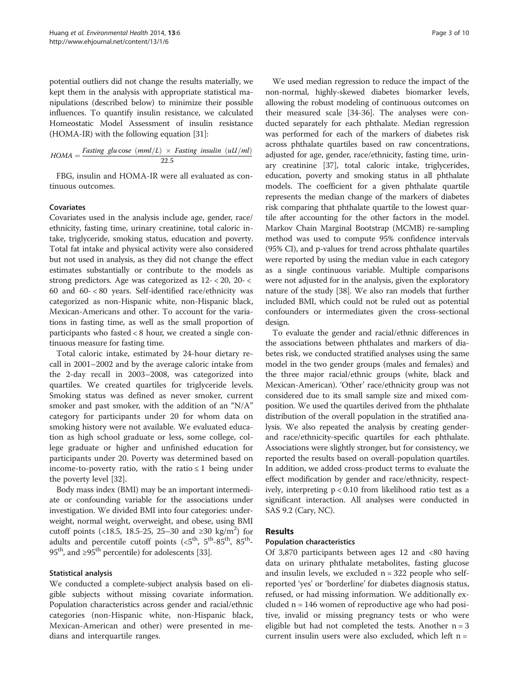potential outliers did not change the results materially, we kept them in the analysis with appropriate statistical manipulations (described below) to minimize their possible influences. To quantify insulin resistance, we calculated Homeostatic Model Assessment of insulin resistance (HOMA-IR) with the following equation [[31](#page-9-0)]:

$$
HOMA = \frac{Fasting \ glu \ cose \ (mml/L) \times Fasting \ insulin \ (uU/ml)}{22.5}
$$

FBG, insulin and HOMA-IR were all evaluated as continuous outcomes.

#### Covariates

Covariates used in the analysis include age, gender, race/ ethnicity, fasting time, urinary creatinine, total caloric intake, triglyceride, smoking status, education and poverty. Total fat intake and physical activity were also considered but not used in analysis, as they did not change the effect estimates substantially or contribute to the models as strong predictors. Age was categorized as 12- < 20, 20- < 60 and 60- < 80 years. Self-identified race/ethnicity was categorized as non-Hispanic white, non-Hispanic black, Mexican-Americans and other. To account for the variations in fasting time, as well as the small proportion of participants who fasted < 8 hour, we created a single continuous measure for fasting time.

Total caloric intake, estimated by 24-hour dietary recall in 2001–2002 and by the average caloric intake from the 2-day recall in 2003–2008, was categorized into quartiles. We created quartiles for triglyceride levels. Smoking status was defined as never smoker, current smoker and past smoker, with the addition of an "N/A" category for participants under 20 for whom data on smoking history were not available. We evaluated education as high school graduate or less, some college, college graduate or higher and unfinished education for participants under 20. Poverty was determined based on income-to-poverty ratio, with the ratio  $\leq 1$  being under the poverty level [[32](#page-9-0)].

Body mass index (BMI) may be an important intermediate or confounding variable for the associations under investigation. We divided BMI into four categories: underweight, normal weight, overweight, and obese, using BMI cutoff points (<18.5, 18.5-25, 25–30 and ≥30 kg/m<sup>2</sup>) for adults and percentile cutoff points  $( $5^{th}$ ,  $5^{th}$ -85<sup>th</sup>, 85<sup>th</sup>-$ 95<sup>th</sup>, and ≥95<sup>th</sup> percentile) for adolescents [[33](#page-9-0)].

#### Statistical analysis

We conducted a complete-subject analysis based on eligible subjects without missing covariate information. Population characteristics across gender and racial/ethnic categories (non-Hispanic white, non-Hispanic black, Mexican-American and other) were presented in medians and interquartile ranges.

We used median regression to reduce the impact of the non-normal, highly-skewed diabetes biomarker levels, allowing the robust modeling of continuous outcomes on their measured scale [[34](#page-9-0)-[36\]](#page-9-0). The analyses were conducted separately for each phthalate. Median regression was performed for each of the markers of diabetes risk across phthalate quartiles based on raw concentrations, adjusted for age, gender, race/ethnicity, fasting time, urinary creatinine [[37](#page-9-0)], total caloric intake, triglycerides, education, poverty and smoking status in all phthalate models. The coefficient for a given phthalate quartile represents the median change of the markers of diabetes risk comparing that phthalate quartile to the lowest quartile after accounting for the other factors in the model. Markov Chain Marginal Bootstrap (MCMB) re-sampling method was used to compute 95% confidence intervals (95% CI), and p-values for trend across phthalate quartiles were reported by using the median value in each category as a single continuous variable. Multiple comparisons were not adjusted for in the analysis, given the exploratory nature of the study [[38](#page-9-0)]. We also ran models that further included BMI, which could not be ruled out as potential confounders or intermediates given the cross-sectional design.

To evaluate the gender and racial/ethnic differences in the associations between phthalates and markers of diabetes risk, we conducted stratified analyses using the same model in the two gender groups (males and females) and the three major racial/ethnic groups (white, black and Mexican-American). 'Other' race/ethnicity group was not considered due to its small sample size and mixed composition. We used the quartiles derived from the phthalate distribution of the overall population in the stratified analysis. We also repeated the analysis by creating genderand race/ethnicity-specific quartiles for each phthalate. Associations were slightly stronger, but for consistency, we reported the results based on overall-population quartiles. In addition, we added cross-product terms to evaluate the effect modification by gender and race/ethnicity, respectively, interpreting p < 0.10 from likelihood ratio test as a significant interaction. All analyses were conducted in SAS 9.2 (Cary, NC).

## Results

#### Population characteristics

Of 3,870 participants between ages 12 and <80 having data on urinary phthalate metabolites, fasting glucose and insulin levels, we excluded  $n = 322$  people who selfreported 'yes' or 'borderline' for diabetes diagnosis status, refused, or had missing information. We additionally excluded n = 146 women of reproductive age who had positive, invalid or missing pregnancy tests or who were eligible but had not completed the tests. Another  $n = 3$ current insulin users were also excluded, which left n =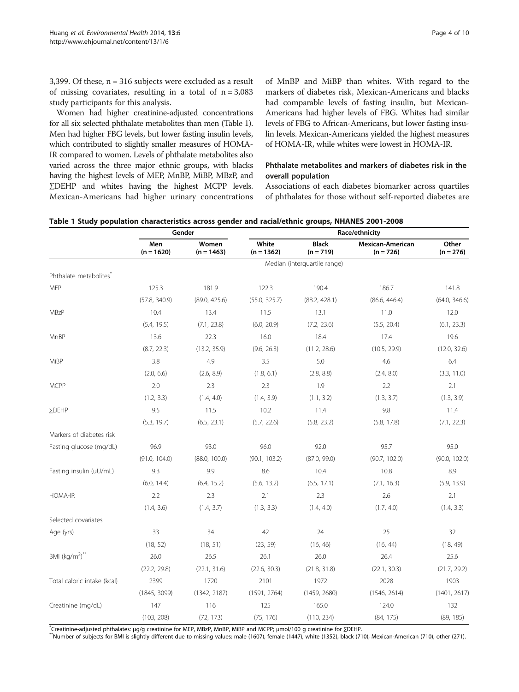3,399. Of these, n = 316 subjects were excluded as a result of missing covariates, resulting in a total of  $n = 3,083$ study participants for this analysis.

Women had higher creatinine-adjusted concentrations for all six selected phthalate metabolites than men (Table 1). Men had higher FBG levels, but lower fasting insulin levels, which contributed to slightly smaller measures of HOMA-IR compared to women. Levels of phthalate metabolites also varied across the three major ethnic groups, with blacks having the highest levels of MEP, MnBP, MiBP, MBzP, and ∑DEHP and whites having the highest MCPP levels. Mexican-Americans had higher urinary concentrations

of MnBP and MiBP than whites. With regard to the markers of diabetes risk, Mexican-Americans and blacks had comparable levels of fasting insulin, but Mexican-Americans had higher levels of FBG. Whites had similar levels of FBG to African-Americans, but lower fasting insulin levels. Mexican-Americans yielded the highest measures of HOMA-IR, while whites were lowest in HOMA-IR.

## Phthalate metabolites and markers of diabetes risk in the overall population

Associations of each diabetes biomarker across quartiles of phthalates for those without self-reported diabetes are

|  | Table 1 Study population characteristics across gender and racial/ethnic groups, NHANES 2001-2008 |  |  |
|--|---------------------------------------------------------------------------------------------------|--|--|
|--|---------------------------------------------------------------------------------------------------|--|--|

|                                    | Gender              |                       | Race/ethnicity        |                              |                                 |                      |
|------------------------------------|---------------------|-----------------------|-----------------------|------------------------------|---------------------------------|----------------------|
|                                    | Men<br>$(n = 1620)$ | Women<br>$(n = 1463)$ | White<br>$(n = 1362)$ | <b>Black</b><br>$(n = 719)$  | Mexican-American<br>$(n = 726)$ | Other<br>$(n = 276)$ |
|                                    |                     |                       |                       | Median (interquartile range) |                                 |                      |
| Phthalate metabolites <sup>*</sup> |                     |                       |                       |                              |                                 |                      |
| <b>MEP</b>                         | 125.3               | 181.9                 | 122.3                 | 190.4                        | 186.7                           | 141.8                |
|                                    | (57.8, 340.9)       | (89.0, 425.6)         | (55.0, 325.7)         | (88.2, 428.1)                | (86.6, 446.4)                   | (64.0, 346.6)        |
| MBzP                               | 10.4                | 13.4                  | 11.5                  | 13.1                         | 11.0                            | 12.0                 |
|                                    | (5.4, 19.5)         | (7.1, 23.8)           | (6.0, 20.9)           | (7.2, 23.6)                  | (5.5, 20.4)                     | (6.1, 23.3)          |
| MnBP                               | 13.6                | 22.3                  | 16.0                  | 18.4                         | 17.4                            | 19.6                 |
|                                    | (8.7, 22.3)         | (13.2, 35.9)          | (9.6, 26.3)           | (11.2, 28.6)                 | (10.5, 29.9)                    | (12.0, 32.6)         |
| MiBP                               | 3.8                 | 4.9                   | 3.5                   | 5.0                          | 4.6                             | 6.4                  |
|                                    | (2.0, 6.6)          | (2.6, 8.9)            | (1.8, 6.1)            | (2.8, 8.8)                   | (2.4, 8.0)                      | (3.3, 11.0)          |
| <b>MCPP</b>                        | 2.0                 | 2.3                   | 2.3                   | 1.9                          | 2.2                             | 2.1                  |
|                                    | (1.2, 3.3)          | (1.4, 4.0)            | (1.4, 3.9)            | (1.1, 3.2)                   | (1.3, 3.7)                      | (1.3, 3.9)           |
| ΣDEHP                              | 9.5                 | 11.5                  | 10.2                  | 11.4                         | 9.8                             | 11.4                 |
|                                    | (5.3, 19.7)         | (6.5, 23.1)           | (5.7, 22.6)           | (5.8, 23.2)                  | (5.8, 17.8)                     | (7.1, 22.3)          |
| Markers of diabetes risk           |                     |                       |                       |                              |                                 |                      |
| Fasting glucose (mg/dL)            | 96.9                | 93.0                  | 96.0                  | 92.0                         | 95.7                            | 95.0                 |
|                                    | (91.0, 104.0)       | (88.0, 100.0)         | (90.1, 103.2)         | (87.0, 99.0)                 | (90.7, 102.0)                   | (90.0, 102.0)        |
| Fasting insulin (uU/mL)            | 9.3                 | 9.9                   | 8.6                   | 10.4                         | 10.8                            | 8.9                  |
|                                    | (6.0, 14.4)         | (6.4, 15.2)           | (5.6, 13.2)           | (6.5, 17.1)                  | (7.1, 16.3)                     | (5.9, 13.9)          |
| HOMA-IR                            | 2.2                 | 2.3                   | 2.1                   | 2.3                          | 2.6                             | 2.1                  |
|                                    | (1.4, 3.6)          | (1.4, 3.7)            | (1.3, 3.3)            | (1.4, 4.0)                   | (1.7, 4.0)                      | (1.4, 3.3)           |
| Selected covariates                |                     |                       |                       |                              |                                 |                      |
| Age (yrs)                          | 33                  | 34                    | 42                    | 24                           | 25                              | 32                   |
|                                    | (18, 52)            | (18, 51)              | (23, 59)              | (16, 46)                     | (16, 44)                        | (18, 49)             |
| BMI $(kg/m^2)^{**}$                | 26.0                | 26.5                  | 26.1                  | 26.0                         | 26.4                            | 25.6                 |
|                                    | (22.2, 29.8)        | (22.1, 31.6)          | (22.6, 30.3)          | (21.8, 31.8)                 | (22.1, 30.3)                    | (21.7, 29.2)         |
| Total caloric intake (kcal)        | 2399                | 1720                  | 2101                  | 1972                         | 2028                            | 1903                 |
|                                    | (1845, 3099)        | (1342, 2187)          | (1591, 2764)          | (1459, 2680)                 | (1546, 2614)                    | (1401, 2617)         |
| Creatinine (mg/dL)                 | 147                 | 116                   | 125                   | 165.0                        | 124.0                           | 132                  |
|                                    | (103, 208)          | (72, 173)             | (75, 176)             | (110, 234)                   | (84, 175)                       | (89, 185)            |

\*Creatinine-adjusted phthalates: μg/g creatinine for MEP, MBzP, MnBP, MiBP and MCPP; μmol/100 g creatinine for ΣDEHP.

"Number of subjects for BMI is slightly different due to missing values: male (1607), female (1447), white (1352), black (710), Mexican-American (710), other (271).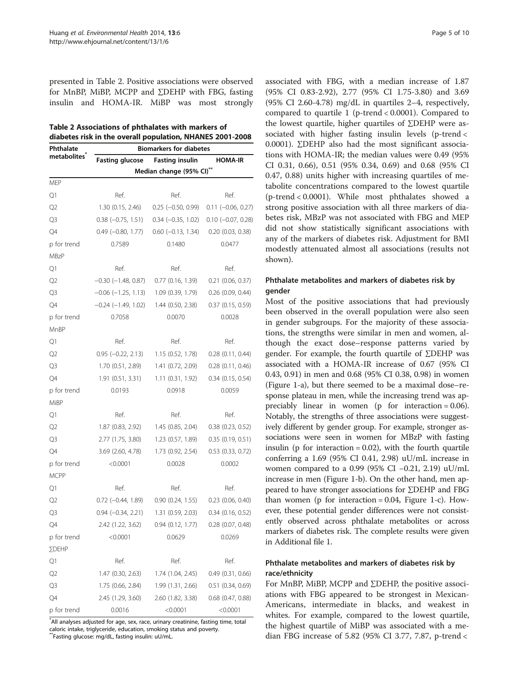presented in Table 2. Positive associations were observed for MnBP, MiBP, MCPP and ∑DEHP with FBG, fasting insulin and HOMA-IR. MiBP was most strongly

| Table 2 Associations of phthalates with markers of        |
|-----------------------------------------------------------|
| diabetes risk in the overall population, NHANES 2001-2008 |

| Phthalate<br>metabolites <sup>"</sup> | <b>Biomarkers for diabetes</b> |                          |                       |  |  |  |
|---------------------------------------|--------------------------------|--------------------------|-----------------------|--|--|--|
|                                       | <b>Fasting glucose</b>         | <b>Fasting insulin</b>   | <b>HOMA-IR</b>        |  |  |  |
|                                       | Median change (95% CI)**       |                          |                       |  |  |  |
| MEP                                   |                                |                          |                       |  |  |  |
| Q1                                    | Ref.                           | Ref.                     | Ref.                  |  |  |  |
| Q2                                    | 1.30(0.15, 2.46)               | $0.25 (-0.50, 0.99)$     | $0.11 (-0.06, 0.27)$  |  |  |  |
| Q3                                    | $0.38 (-0.75, 1.51)$           | $0.34 (-0.35, 1.02)$     | $0.10 (-0.07, 0.28)$  |  |  |  |
| Q4                                    | $0.49$ ( $-0.80$ , 1.77)       | $0.60$ ( $-0.13$ , 1.34) | $0.20$ $(0.03, 0.38)$ |  |  |  |
| p for trend                           | 0.7589                         | 0.1480                   | 0.0477                |  |  |  |
| MBzP                                  |                                |                          |                       |  |  |  |
| Q1                                    | Ref.                           | Ref.                     | Ref.                  |  |  |  |
| Q2                                    | $-0.30$ $(-1.48, 0.87)$        | 0.77(0.16, 1.39)         | $0.21$ (0.06, 0.37)   |  |  |  |
| Q3                                    | $-0.06$ ( $-1.25$ , 1.13)      | 1.09 (0.39, 1.79)        | $0.26$ (0.09, 0.44)   |  |  |  |
| Q4                                    | $-0.24 (-1.49, 1.02)$          | 1.44 (0.50, 2.38)        | 0.37(0.15, 0.59)      |  |  |  |
| p for trend                           | 0.7058                         | 0.0070                   | 0.0028                |  |  |  |
| MnBP                                  |                                |                          |                       |  |  |  |
| Q1                                    | Ref.                           | Ref.                     | Ref.                  |  |  |  |
| Q2                                    | $0.95 (-0.22, 2.13)$           | 1.15 (0.52, 1.78)        | $0.28$ $(0.11, 0.44)$ |  |  |  |
| Q3                                    | 1.70(0.51, 2.89)               | 1.41 (0.72, 2.09)        | $0.28$ $(0.11, 0.46)$ |  |  |  |
| Q4                                    | 1.91 (0.51, 3.31)              | 1.11(0.31, 1.92)         | $0.34$ (0.15, 0.54)   |  |  |  |
| p for trend                           | 0.0193                         | 0.0918                   | 0.0059                |  |  |  |
| MiBP                                  |                                |                          |                       |  |  |  |
| Q1                                    | Ref.                           | Ref.                     | Ref.                  |  |  |  |
| Q2                                    | 1.87 (0.83, 2.92)              | 1.45 (0.85, 2.04)        | 0.38(0.23, 0.52)      |  |  |  |
| Q3                                    | 2.77 (1.75, 3.80)              | 1.23 (0.57, 1.89)        | 0.35(0.19, 0.51)      |  |  |  |
| Q4                                    | 3.69 (2.60, 4.78)              | 1.73 (0.92, 2.54)        | $0.53$ $(0.33, 0.72)$ |  |  |  |
| p for trend<br><b>MCPP</b>            | < 0.0001                       | 0.0028                   | 0.0002                |  |  |  |
| Q1                                    | Ref.                           | Ref.                     | Ref.                  |  |  |  |
| Q2                                    | $0.72$ (-0.44, 1.89)           | 0.90(0.24, 1.55)         | $0.23$ $(0.06, 0.40)$ |  |  |  |
| Q3                                    | $0.94 (-0.34, 2.21)$           | 1.31 (0.59, 2.03)        | $0.34$ (0.16, 0.52)   |  |  |  |
| Q4                                    | 2.42 (1.22, 3.62)              | 0.94(0.12, 1.77)         | $0.28$ $(0.07, 0.48)$ |  |  |  |
| p for trend                           | <0.0001                        | 0.0629                   | 0.0269                |  |  |  |
| ∑DEHP                                 |                                |                          |                       |  |  |  |
| Q1                                    | Ref.                           | Ref.                     | Ref.                  |  |  |  |
| Q2                                    | 1.47 (0.30, 2.63)              | 1.74 (1.04, 2.45)        | 0.49(0.31, 0.66)      |  |  |  |
| Q3                                    | 1.75 (0.66, 2.84)              | 1.99 (1.31, 2.66)        | 0.51(0.34, 0.69)      |  |  |  |
| Q4                                    | 2.45 (1.29, 3.60)              | 2.60 (1.82, 3.38)        | $0.68$ $(0.47, 0.88)$ |  |  |  |
| p for trend                           | 0.0016                         | < 0.0001                 | < 0.0001              |  |  |  |

\* All analyses adjusted for age, sex, race, urinary creatinine, fasting time, total caloric intake, triglyceride, education, smoking status and poverty.

\*\*Fasting glucose: mg/dL, fasting insulin: uU/mL.

associated with FBG, with a median increase of 1.87 (95% CI 0.83-2.92), 2.77 (95% CI 1.75-3.80) and 3.69 (95% CI 2.60-4.78) mg/dL in quartiles 2–4, respectively, compared to quartile 1 (p-trend < 0.0001). Compared to the lowest quartile, higher quartiles of ∑DEHP were associated with higher fasting insulin levels (p-trend < 0.0001). ∑DEHP also had the most significant associations with HOMA-IR; the median values were 0.49 (95% CI 0.31, 0.66), 0.51 (95% 0.34, 0.69) and 0.68 (95% CI 0.47, 0.88) units higher with increasing quartiles of metabolite concentrations compared to the lowest quartile (p-trend < 0.0001). While most phthalates showed a strong positive association with all three markers of diabetes risk, MBzP was not associated with FBG and MEP did not show statistically significant associations with any of the markers of diabetes risk. Adjustment for BMI modestly attenuated almost all associations (results not shown).

## Phthalate metabolites and markers of diabetes risk by gender

Most of the positive associations that had previously been observed in the overall population were also seen in gender subgroups. For the majority of these associations, the strengths were similar in men and women, although the exact dose–response patterns varied by gender. For example, the fourth quartile of ∑DEHP was associated with a HOMA-IR increase of 0.67 (95% CI 0.43, 0.91) in men and 0.68 (95% CI 0.38, 0.98) in women (Figure [1](#page-5-0)-a), but there seemed to be a maximal dose–response plateau in men, while the increasing trend was appreciably linear in women ( $p$  for interaction = 0.06). Notably, the strengths of three associations were suggestively different by gender group. For example, stronger associations were seen in women for MBzP with fasting insulin ( $p$  for interaction = 0.02), with the fourth quartile conferring a  $1.69$  (95% CI 0.41, 2.98) uU/mL increase in women compared to a 0.99 (95% CI −0.21, 2.19) uU/mL increase in men (Figure [1-](#page-5-0)b). On the other hand, men appeared to have stronger associations for ∑DEHP and FBG than women (p for interaction  $= 0.04$ , Figure [1-](#page-5-0)c). However, these potential gender differences were not consistently observed across phthalate metabolites or across markers of diabetes risk. The complete results were given in Additional file [1](#page-8-0).

## Phthalate metabolites and markers of diabetes risk by race/ethnicity

For MnBP, MiBP, MCPP and ∑DEHP, the positive associations with FBG appeared to be strongest in Mexican-Americans, intermediate in blacks, and weakest in whites. For example, compared to the lowest quartile, the highest quartile of MiBP was associated with a median FBG increase of 5.82 (95% CI 3.77, 7.87, p-trend <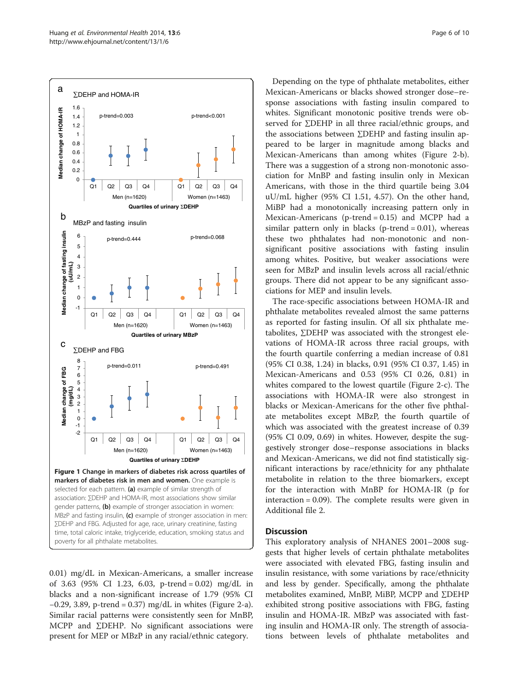<span id="page-5-0"></span>

0.01) mg/dL in Mexican-Americans, a smaller increase of 3.63 (95% CI 1.23, 6.03, p-trend = 0.02) mg/dL in blacks and a non-significant increase of 1.79 (95% CI −0.29, 3.89, p-trend = 0.37) mg/dL in whites (Figure [2](#page-6-0)-a). Similar racial patterns were consistently seen for MnBP, MCPP and ∑DEHP. No significant associations were present for MEP or MBzP in any racial/ethnic category.

Depending on the type of phthalate metabolites, either Mexican-Americans or blacks showed stronger dose–response associations with fasting insulin compared to whites. Significant monotonic positive trends were observed for ∑DEHP in all three racial/ethnic groups, and the associations between ∑DEHP and fasting insulin appeared to be larger in magnitude among blacks and Mexican-Americans than among whites (Figure [2-](#page-6-0)b). There was a suggestion of a strong non-monotonic association for MnBP and fasting insulin only in Mexican Americans, with those in the third quartile being 3.04 uU/mL higher (95% CI 1.51, 4.57). On the other hand, MiBP had a monotonically increasing pattern only in Mexican-Americans (p-trend = 0.15) and MCPP had a similar pattern only in blacks ( $p$ -trend = 0.01), whereas these two phthalates had non-monotonic and nonsignificant positive associations with fasting insulin among whites. Positive, but weaker associations were seen for MBzP and insulin levels across all racial/ethnic groups. There did not appear to be any significant associations for MEP and insulin levels.

The race-specific associations between HOMA-IR and phthalate metabolites revealed almost the same patterns as reported for fasting insulin. Of all six phthalate metabolites, ∑DEHP was associated with the strongest elevations of HOMA-IR across three racial groups, with the fourth quartile conferring a median increase of 0.81 (95% CI 0.38, 1.24) in blacks, 0.91 (95% CI 0.37, 1.45) in Mexican-Americans and 0.53 (95% CI 0.26, 0.81) in whites compared to the lowest quartile (Figure [2](#page-6-0)-c). The associations with HOMA-IR were also strongest in blacks or Mexican-Americans for the other five phthalate metabolites except MBzP, the fourth quartile of which was associated with the greatest increase of 0.39 (95% CI 0.09, 0.69) in whites. However, despite the suggestively stronger dose–response associations in blacks and Mexican-Americans, we did not find statistically significant interactions by race/ethnicity for any phthalate metabolite in relation to the three biomarkers, except for the interaction with MnBP for HOMA-IR (p for interaction = 0.09). The complete results were given in Additional file [2](#page-8-0).

## **Discussion**

This exploratory analysis of NHANES 2001–2008 suggests that higher levels of certain phthalate metabolites were associated with elevated FBG, fasting insulin and insulin resistance, with some variations by race/ethnicity and less by gender. Specifically, among the phthalate metabolites examined, MnBP, MiBP, MCPP and ∑DEHP exhibited strong positive associations with FBG, fasting insulin and HOMA-IR. MBzP was associated with fasting insulin and HOMA-IR only. The strength of associations between levels of phthalate metabolites and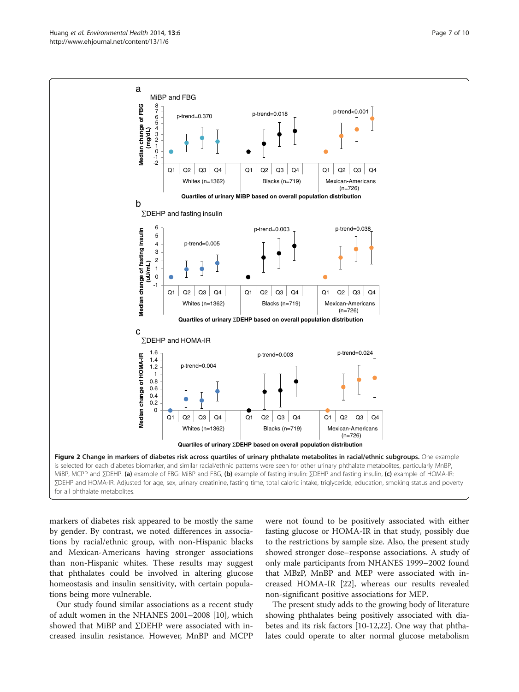<span id="page-6-0"></span>

markers of diabetes risk appeared to be mostly the same by gender. By contrast, we noted differences in associations by racial/ethnic group, with non-Hispanic blacks and Mexican-Americans having stronger associations than non-Hispanic whites. These results may suggest that phthalates could be involved in altering glucose homeostasis and insulin sensitivity, with certain populations being more vulnerable.

Our study found similar associations as a recent study of adult women in the NHANES 2001–2008 [[10](#page-8-0)], which showed that MiBP and ∑DEHP were associated with increased insulin resistance. However, MnBP and MCPP were not found to be positively associated with either fasting glucose or HOMA-IR in that study, possibly due to the restrictions by sample size. Also, the present study showed stronger dose–response associations. A study of only male participants from NHANES 1999–2002 found that MBzP, MnBP and MEP were associated with increased HOMA-IR [[22\]](#page-8-0), whereas our results revealed non-significant positive associations for MEP.

The present study adds to the growing body of literature showing phthalates being positively associated with diabetes and its risk factors [[10](#page-8-0)-[12,22](#page-8-0)]. One way that phthalates could operate to alter normal glucose metabolism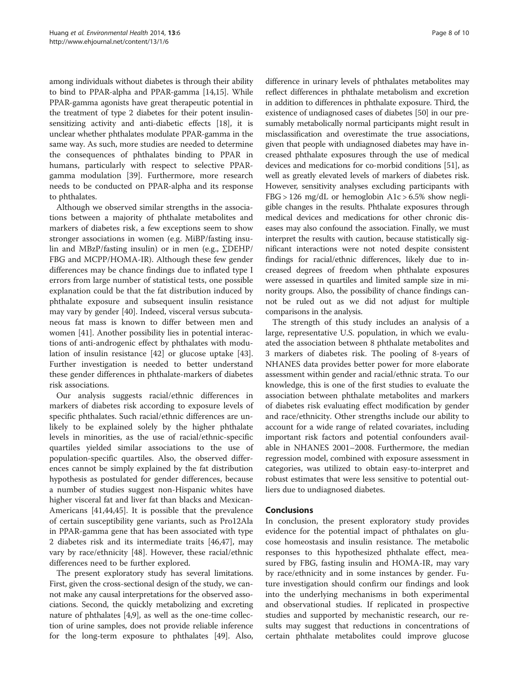among individuals without diabetes is through their ability to bind to PPAR-alpha and PPAR-gamma [[14](#page-8-0),[15](#page-8-0)]. While PPAR-gamma agonists have great therapeutic potential in the treatment of type 2 diabetes for their potent insulinsensitizing activity and anti-diabetic effects [\[18\]](#page-8-0), it is unclear whether phthalates modulate PPAR-gamma in the same way. As such, more studies are needed to determine the consequences of phthalates binding to PPAR in humans, particularly with respect to selective PPARgamma modulation [\[39](#page-9-0)]. Furthermore, more research needs to be conducted on PPAR-alpha and its response to phthalates.

Although we observed similar strengths in the associations between a majority of phthalate metabolites and markers of diabetes risk, a few exceptions seem to show stronger associations in women (e.g. MiBP/fasting insulin and MBzP/fasting insulin) or in men (e.g., ∑DEHP/ FBG and MCPP/HOMA-IR). Although these few gender differences may be chance findings due to inflated type I errors from large number of statistical tests, one possible explanation could be that the fat distribution induced by phthalate exposure and subsequent insulin resistance may vary by gender [[40\]](#page-9-0). Indeed, visceral versus subcutaneous fat mass is known to differ between men and women [[41\]](#page-9-0). Another possibility lies in potential interactions of anti-androgenic effect by phthalates with modulation of insulin resistance [[42\]](#page-9-0) or glucose uptake [\[43](#page-9-0)]. Further investigation is needed to better understand these gender differences in phthalate-markers of diabetes risk associations.

Our analysis suggests racial/ethnic differences in markers of diabetes risk according to exposure levels of specific phthalates. Such racial/ethnic differences are unlikely to be explained solely by the higher phthalate levels in minorities, as the use of racial/ethnic-specific quartiles yielded similar associations to the use of population-specific quartiles. Also, the observed differences cannot be simply explained by the fat distribution hypothesis as postulated for gender differences, because a number of studies suggest non-Hispanic whites have higher visceral fat and liver fat than blacks and Mexican-Americans [[41,44,45\]](#page-9-0). It is possible that the prevalence of certain susceptibility gene variants, such as Pro12Ala in PPAR-gamma gene that has been associated with type 2 diabetes risk and its intermediate traits [[46,47\]](#page-9-0), may vary by race/ethnicity [[48\]](#page-9-0). However, these racial/ethnic differences need to be further explored.

The present exploratory study has several limitations. First, given the cross-sectional design of the study, we cannot make any causal interpretations for the observed associations. Second, the quickly metabolizing and excreting nature of phthalates [[4,9\]](#page-8-0), as well as the one-time collection of urine samples, does not provide reliable inference for the long-term exposure to phthalates [[49\]](#page-9-0). Also,

difference in urinary levels of phthalates metabolites may reflect differences in phthalate metabolism and excretion in addition to differences in phthalate exposure. Third, the existence of undiagnosed cases of diabetes [\[50](#page-9-0)] in our presumably metabolically normal participants might result in misclassification and overestimate the true associations, given that people with undiagnosed diabetes may have increased phthalate exposures through the use of medical devices and medications for co-morbid conditions [[51](#page-9-0)], as well as greatly elevated levels of markers of diabetes risk. However, sensitivity analyses excluding participants with  $FBG > 126$  mg/dL or hemoglobin A1c  $> 6.5\%$  show negligible changes in the results. Phthalate exposures through medical devices and medications for other chronic diseases may also confound the association. Finally, we must interpret the results with caution, because statistically significant interactions were not noted despite consistent findings for racial/ethnic differences, likely due to increased degrees of freedom when phthalate exposures were assessed in quartiles and limited sample size in minority groups. Also, the possibility of chance findings cannot be ruled out as we did not adjust for multiple comparisons in the analysis.

The strength of this study includes an analysis of a large, representative U.S. population, in which we evaluated the association between 8 phthalate metabolites and 3 markers of diabetes risk. The pooling of 8-years of NHANES data provides better power for more elaborate assessment within gender and racial/ethnic strata. To our knowledge, this is one of the first studies to evaluate the association between phthalate metabolites and markers of diabetes risk evaluating effect modification by gender and race/ethnicity. Other strengths include our ability to account for a wide range of related covariates, including important risk factors and potential confounders available in NHANES 2001–2008. Furthermore, the median regression model, combined with exposure assessment in categories, was utilized to obtain easy-to-interpret and robust estimates that were less sensitive to potential outliers due to undiagnosed diabetes.

## Conclusions

In conclusion, the present exploratory study provides evidence for the potential impact of phthalates on glucose homeostasis and insulin resistance. The metabolic responses to this hypothesized phthalate effect, measured by FBG, fasting insulin and HOMA-IR, may vary by race/ethnicity and in some instances by gender. Future investigation should confirm our findings and look into the underlying mechanisms in both experimental and observational studies. If replicated in prospective studies and supported by mechanistic research, our results may suggest that reductions in concentrations of certain phthalate metabolites could improve glucose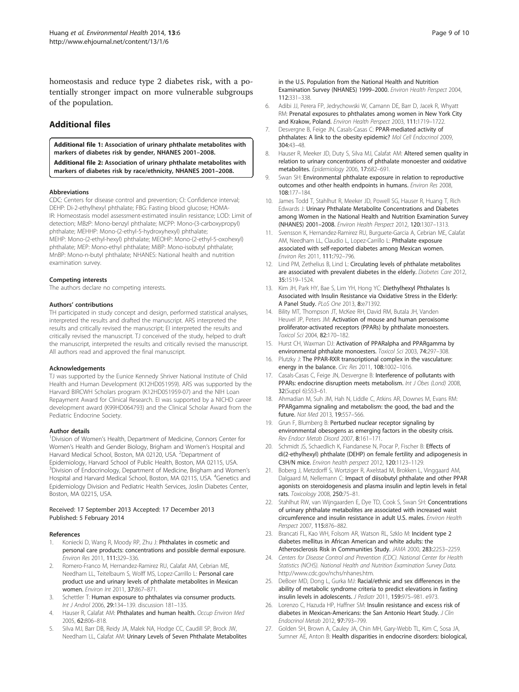<span id="page-8-0"></span>homeostasis and reduce type 2 diabetes risk, with a potentially stronger impact on more vulnerable subgroups of the population.

## Additional files

[Additional file 1:](http://www.biomedcentral.com/content/supplementary/1476-069X-13-6-S1.xlsx) Association of urinary phthalate metabolites with markers of diabetes risk by gender, NHANES 2001–2008. [Additional file 2:](http://www.biomedcentral.com/content/supplementary/1476-069X-13-6-S2.xlsx) Association of urinary phthalate metabolites with markers of diabetes risk by race/ethnicity, NHANES 2001–2008.

#### Abbreviations

CDC: Centers for disease control and prevention; CI: Confidence interval; DEHP: Di-2-ethylhexyl phthalate; FBG: Fasting blood glucose; HOMA-IR: Homeostasis model assessment-estimated insulin resistance; LOD: Limit of detection; MBzP: Mono-benzyl phthalate; MCPP: Mono-(3-carboxypropyl) phthalate; MEHHP: Mono-(2-ethyl-5-hydroxyhexyl) phthalate; MEHP: Mono-(2-ethyl-hexyl) phthalate; MEOHP: Mono-(2-ethyl-5-oxohexyl) phthalate; MEP: Mono-ethyl phthalate; MiBP: Mono-isobutyl phthalate; MnBP: Mono-n-butyl phthalate; NHANES: National health and nutrition examination survey.

#### Competing interests

The authors declare no competing interests.

#### Authors' contributions

TH participated in study concept and design, performed statistical analyses, interpreted the results and drafted the manuscript. ARS interpreted the results and critically revised the manuscript; EI interpreted the results and critically revised the manuscript. TJ conceived of the study, helped to draft the manuscript, interpreted the results and critically revised the manuscript. All authors read and approved the final manuscript.

#### Acknowledgements

TJ was supported by the Eunice Kennedy Shriver National Institute of Child Health and Human Development (K12HD051959). ARS was supported by the Harvard BIRCWH Scholars program (K12HD051959-07) and the NIH Loan Repayment Award for Clinical Research. EI was supported by a NICHD career development award (K99HD064793) and the Clinical Scholar Award from the Pediatric Endocrine Society.

#### Author details

<sup>1</sup> Division of Women's Health, Department of Medicine, Connors Center for Women's Health and Gender Biology, Brigham and Women's Hospital and Harvard Medical School, Boston, MA 02120, USA. <sup>2</sup>Department of Epidemiology, Harvard School of Public Health, Boston, MA 02115, USA. <sup>3</sup>Division of Endocrinology, Department of Medicine, Brigham and Women's Hospital and Harvard Medical School, Boston, MA 02115, USA. <sup>4</sup>Genetics and Epidemiology Division and Pediatric Health Services, Joslin Diabetes Center, Boston, MA 02215, USA.

#### Received: 17 September 2013 Accepted: 17 December 2013 Published: 5 February 2014

#### References

- Koniecki D, Wang R, Moody RP, Zhu J: Phthalates in cosmetic and personal care products: concentrations and possible dermal exposure. Environ Res 2011, 111:329–336.
- 2. Romero-Franco M, Hernandez-Ramirez RU, Calafat AM, Cebrian ME, Needham LL, Teitelbaum S, Wolff MS, Lopez-Carrillo L: Personal care product use and urinary levels of phthalate metabolites in Mexican women. Environ Int 2011, 37:867–871.
- Schettler T: Human exposure to phthalates via consumer products. Int J Androl 2006, 29:134–139. discussion 181–135.
- Hauser R, Calafat AM: Phthalates and human health. Occup Environ Med 2005, 62:806–818.
- 5. Silva MJ, Barr DB, Reidy JA, Malek NA, Hodge CC, Caudill SP, Brock JW, Needham LL, Calafat AM: Urinary Levels of Seven Phthalate Metabolites

in the U.S. Population from the National Health and Nutrition Examination Survey (NHANES) 1999–2000. Environ Health Perspect 2004, 112:331–338.

- 6. Adibi JJ, Perera FP, Jedrychowski W, Camann DE, Barr D, Jacek R, Whyatt RM: Prenatal exposures to phthalates among women in New York City and Krakow, Poland. Environ Health Perspect 2003, 111:1719–1722.
- 7. Desvergne B, Feige JN, Casals-Casas C: PPAR-mediated activity of phthalates: A link to the obesity epidemic? Mol Cell Endocrinol 2009, 304:43–48.
- 8. Hauser R, Meeker JD, Duty S, Silva MJ, Calafat AM: Altered semen quality in relation to urinary concentrations of phthalate monoester and oxidative metabolites. Epidemiology 2006, 17:682–691.
- 9. Swan SH: Environmental phthalate exposure in relation to reproductive outcomes and other health endpoints in humans. Environ Res 2008, 108:177–184.
- 10. James Todd T, Stahlhut R, Meeker JD, Powell SG, Hauser R, Huang T, Rich Edwards J: Urinary Phthalate Metabolite Concentrations and Diabetes among Women in the National Health and Nutrition Examination Survey (NHANES) 2001–2008. Environ Health Perspect 2012, 120:1307–1313.
- 11. Svensson K, Hernandez-Ramirez RU, Burguete-Garcia A, Cebrian ME, Calafat AM, Needham LL, Claudio L, Lopez-Carrillo L: Phthalate exposure associated with self-reported diabetes among Mexican women. Environ Res 2011, 111:792–796.
- 12. Lind PM, Zethelius B, Lind L: Circulating levels of phthalate metabolites are associated with prevalent diabetes in the elderly. Diabetes Care 2012, 35:1519–1524.
- 13. Kim JH, Park HY, Bae S, Lim YH, Hong YC: Diethylhexyl Phthalates Is Associated with Insulin Resistance via Oxidative Stress in the Elderly: A Panel Study. PLoS One 2013, 8:e71392.
- 14. Bility MT, Thompson JT, McKee RH, David RM, Butala JH, Vanden Heuvel JP, Peters JM: Activation of mouse and human peroxisome proliferator-activated receptors (PPARs) by phthalate monoesters. Toxicol Sci 2004, 82:170–182.
- 15. Hurst CH, Waxman DJ: Activation of PPARalpha and PPARgamma by environmental phthalate monoesters. Toxicol Sci 2003, 74:297–308.
- 16. Plutzky J: The PPAR-RXR transcriptional complex in the vasculature: energy in the balance. Circ Res 2011, 108:1002-1016.
- 17. Casals-Casas C, Feige JN, Desvergne B: Interference of pollutants with PPARs: endocrine disruption meets metabolism. Int J Obes (Lond) 2008, 32(Suppl 6):S53–61.
- 18. Ahmadian M, Suh JM, Hah N, Liddle C, Atkins AR, Downes M, Evans RM: PPARgamma signaling and metabolism: the good, the bad and the future. Nat Med 2013, 19:557–566.
- 19. Grun F, Blumberg B: Perturbed nuclear receptor signaling by environmental obesogens as emerging factors in the obesity crisis. Rev Endocr Metab Disord 2007, 8:161–171.
- 20. Schmidt JS, Schaedlich K, Fiandanese N, Pocar P, Fischer B: Effects of di(2-ethylhexyl) phthalate (DEHP) on female fertility and adipogenesis in C3H/N mice. Environ health perspect 2012, 120:1123–1129.
- 21. Boberg J, Metzdorff S, Wortziger R, Axelstad M, Brokken L, Vinggaard AM, Dalgaard M, Nellemann C: Impact of diisobutyl phthalate and other PPAR agonists on steroidogenesis and plasma insulin and leptin levels in fetal rats. Toxicology 2008, 250:75–81.
- 22. Stahlhut RW, van Wijngaarden E, Dye TD, Cook S, Swan SH: Concentrations of urinary phthalate metabolites are associated with increased waist circumference and insulin resistance in adult U.S. males. Environ Health Perspect 2007, 115:876-882
- 23. Brancati FL, Kao WH, Folsom AR, Watson RL, Szklo M: Incident type 2 diabetes mellitus in African American and white adults: the Atherosclerosis Risk in Communities Study. JAMA 2000, 283:2253–2259.
- 24. Centers for Disease Control and Prevention (CDC). National Center for Health Statistics (NCHS). National Health and Nutrition Examination Survey Data. [http://www.cdc.gov/nchs/nhanes.htm.](http://www.cdc.gov/nchs/nhanes.htm)
- 25. DeBoer MD, Dong L, Gurka MJ: Racial/ethnic and sex differences in the ability of metabolic syndrome criteria to predict elevations in fasting insulin levels in adolescents. J Pediatr 2011, 159:975–981. e973.
- 26. Lorenzo C, Hazuda HP, Haffner SM: Insulin resistance and excess risk of diabetes in Mexican-Americans: the San Antonio Heart Study. J Clin Endocrinol Metab 2012, 97:793–799.
- 27. Golden SH, Brown A, Cauley JA, Chin MH, Gary-Webb TL, Kim C, Sosa JA, Sumner AE, Anton B: Health disparities in endocrine disorders: biological,